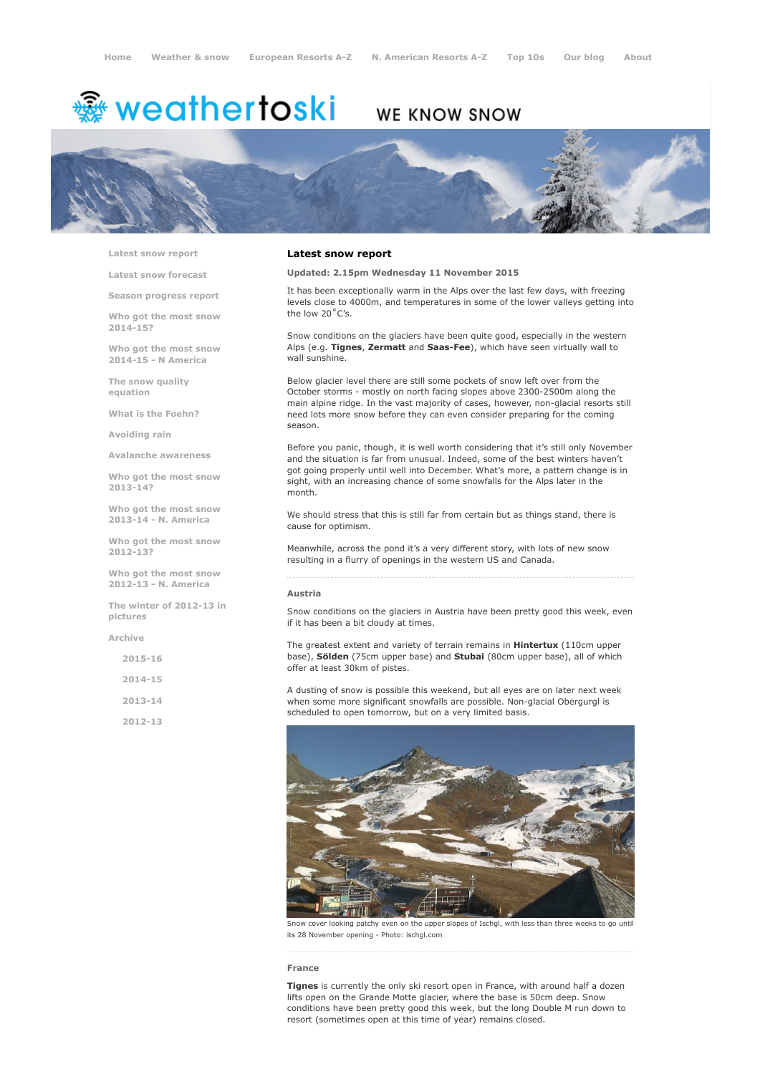# <del>鑾</del> weathertoski

# WE KNOW SNOW



Latest snow [report](http://www.weathertoski.co.uk/weather-snow/latest-snow-report/)

Latest snow [forecast](http://www.weathertoski.co.uk/weather-snow/latest-snow-forecast/)

Season [progress](http://www.weathertoski.co.uk/weather-snow/season-progress-report/) report

Who got the most snow 2014-15?

Who got the most snow 2014-15 - N America

The snow quality [equation](http://www.weathertoski.co.uk/weather-snow/the-snow-quality-equation/)

What is the [Foehn?](http://www.weathertoski.co.uk/weather-snow/what-is-the-foehn/)

[Avoiding](http://www.weathertoski.co.uk/weather-snow/avoiding-rain/) rain

Avalanche [awareness](http://www.weathertoski.co.uk/weather-snow/avalanche-awareness/)

Who got the most snow 2013-14?

Who got the most snow 2013-14 - N. America

Who got the most snow 2012-13?

Who got the most snow 2012-13 - N. America

The winter of 2012-13 in pictures

[Archive](http://www.weathertoski.co.uk/weather-snow/archive/)

2015-16 2014-15

2013-14

2012-13

# Latest snow report

Updated: 2.15pm Wednesday 11 November 2015

It has been exceptionally warm in the Alps over the last few days, with freezing levels close to 4000m, and temperatures in some of the lower valleys getting into the low 20˚C's.

Snow conditions on the glaciers have been quite good, especially in the western Alps (e.g. Tignes, Zermatt and Saas-Fee), which have seen virtually wall to wall sunshine.

Below glacier level there are still some pockets of snow left over from the October storms - mostly on north facing slopes above 2300-2500m along the main alpine ridge. In the vast majority of cases, however, non-glacial resorts still need lots more snow before they can even consider preparing for the coming season.

Before you panic, though, it is well worth considering that it's still only November and the situation is far from unusual. Indeed, some of the best winters haven't got going properly until well into December. What's more, a pattern change is in sight, with an increasing chance of some snowfalls for the Alps later in the month.

We should stress that this is still far from certain but as things stand, there is cause for optimism.

Meanwhile, across the pond it's a very different story, with lots of new snow resulting in a flurry of openings in the western US and Canada.

## Austria

Snow conditions on the glaciers in Austria have been pretty good this week, even if it has been a bit cloudy at times.

The greatest extent and variety of terrain remains in **Hintertux** (110cm upper base), Sölden (75cm upper base) and Stubai (80cm upper base), all of which offer at least 30km of pistes.

A dusting of snow is possible this weekend, but all eyes are on later next week when some more significant snowfalls are possible. Non-glacial Obergurgl is scheduled to open tomorrow, but on a very limited basis.



Snow cover looking patchy even on the upper slopes of Ischgl, with less than three weeks to go until its 28 November opening - Photo: ischgl.com

#### France

**Tignes** is currently the only ski resort open in France, with around half a dozen lifts open on the Grande Motte glacier, where the base is 50cm deep. Snow conditions have been pretty good this week, but the long Double M run down to resort (sometimes open at this time of year) remains closed.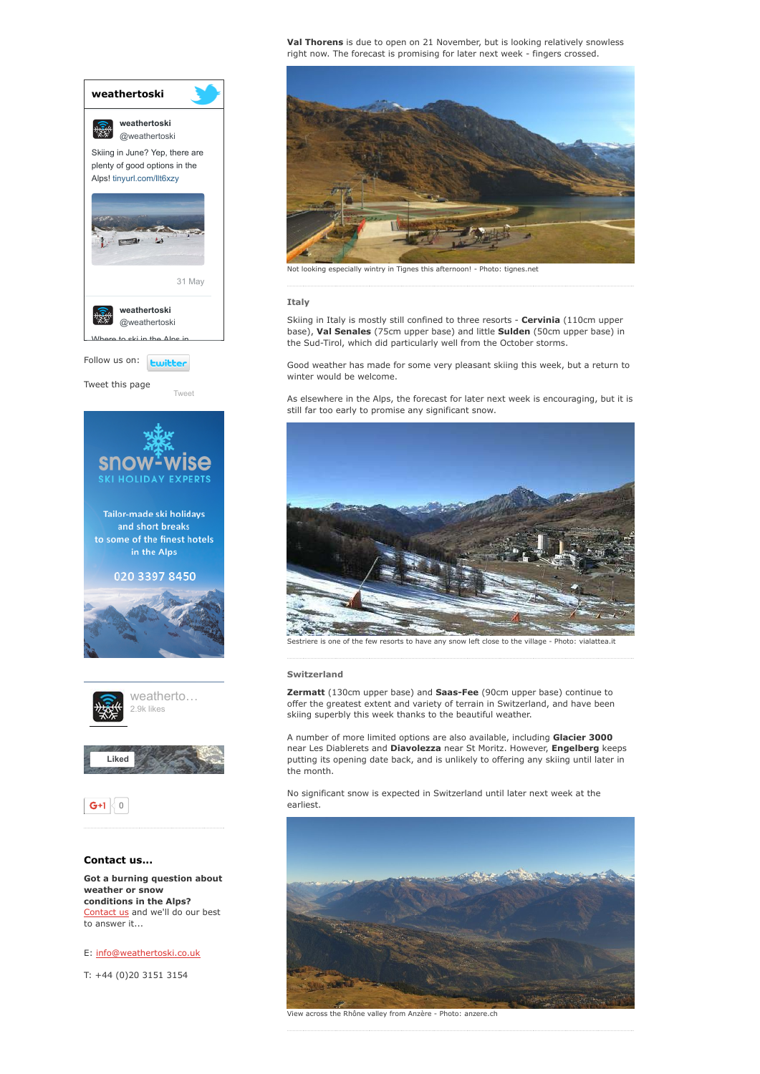

conditions in the Alps? [Contact](http://www.weathertoski.co.uk/about-1/contact-us/) us and we'll do our best to answer it...

E: [info@weathertoski.co.uk](mailto:fraser@weathertoski.co.uk)

T: +44 (0)20 3151 3154

Val Thorens is due to open on 21 November, but is looking relatively snowless right now. The forecast is promising for later next week - fingers crossed.



# Italy

Skiing in Italy is mostly still confined to three resorts - Cervinia (110cm upper base), Val Senales (75cm upper base) and little Sulden (50cm upper base) in the Sud-Tirol, which did particularly well from the October storms.

Good weather has made for some very pleasant skiing this week, but a return to winter would be welcome.

As elsewhere in the Alps, the forecast for later next week is encouraging, but it is still far too early to promise any significant snow.



Sestriere is one of the few resorts to have any snow left close to the village - Photo: vialattea.it

# Switzerland

Zermatt (130cm upper base) and Saas-Fee (90cm upper base) continue to offer the greatest extent and variety of terrain in Switzerland, and have been skiing superbly this week thanks to the beautiful weather.

A number of more limited options are also available, including Glacier 3000 near Les Diablerets and Diavolezza near St Moritz. However, Engelberg keeps putting its opening date back, and is unlikely to offering any skiing until later in the month.

No significant snow is expected in Switzerland until later next week at the earliest.



View across the Rhône valley from Anzère Photo: anzere.ch